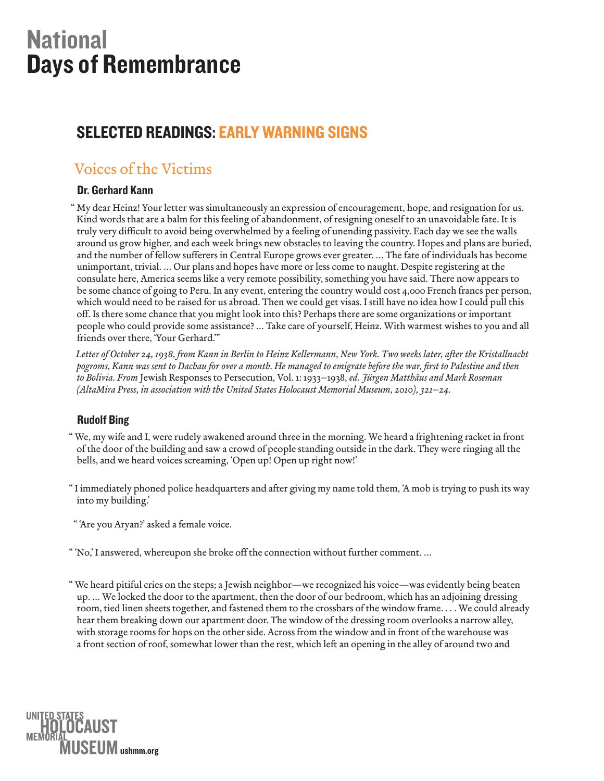### SELECTED READINGs: EARLY WARNING SIGNS

### Voices of the Victims

#### Dr. Gerhard Kann

" My dear Heinz! Your letter was simultaneously an expression of encouragement, hope, and resignation for us. Kind words that are a balm for this feeling of abandonment, of resigning oneself to an unavoidable fate. It is truly very difficult to avoid being overwhelmed by a feeling of unending passivity. Each day we see the walls around us grow higher, and each week brings new obstacles to leaving the country. Hopes and plans are buried, and the number of fellow sufferers in Central Europe grows ever greater. … The fate of individuals has become unimportant, trivial. … Our plans and hopes have more or less come to naught. Despite registering at the consulate here, America seems like a very remote possibility, something you have said. There now appears to be some chance of going to Peru. In any event, entering the country would cost 4,000 French francs per person, which would need to be raised for us abroad. Then we could get visas. I still have no idea how I could pull this off. Is there some chance that you might look into this? Perhaps there are some organizations or important people who could provide some assistance? … Take care of yourself, Heinz. With warmest wishes to you and all friends over there, 'Your Gerhard.'"

 *Letter of October 24, 1938, from Kann in Berlin to Heinz Kellermann, New York. Two weeks later, after the Kristallnacht pogroms, Kann was sent to Dachau for over a month. He managed to emigrate before the war, first to Palestine and then to Bolivia. From* Jewish Responses to Persecution, Vol. 1: 1933–1938, *ed. Jürgen Matthäus and Mark Roseman (AltaMira Press, in association with the United States Holocaust Memorial Museum, 2010), 321–24.*

#### Rudolf Bing

- We, my wife and I, were rudely awakened around three in the morning. We heard a frightening racket in front of the door of the building and saw a crowd of people standing outside in the dark. They were ringing all the bells, and we heard voices screaming, 'Open up! Open up right now!'
- " I immediately phoned police headquarters and after giving my name told them, 'A mob is trying to push its way into my building.'
- " 'Are you Aryan?' asked a female voice.
- " 'No,' I answered, whereupon she broke off the connection without further comment. …
- " We heard pitiful cries on the steps; a Jewish neighbor—we recognized his voice—was evidently being beaten up. … We locked the door to the apartment, then the door of our bedroom, which has an adjoining dressing room, tied linen sheets together, and fastened them to the crossbars of the window frame. . . . We could already hear them breaking down our apartment door. The window of the dressing room overlooks a narrow alley, with storage rooms for hops on the other side. Across from the window and in front of the warehouse was a front section of roof, somewhat lower than the rest, which left an opening in the alley of around two and

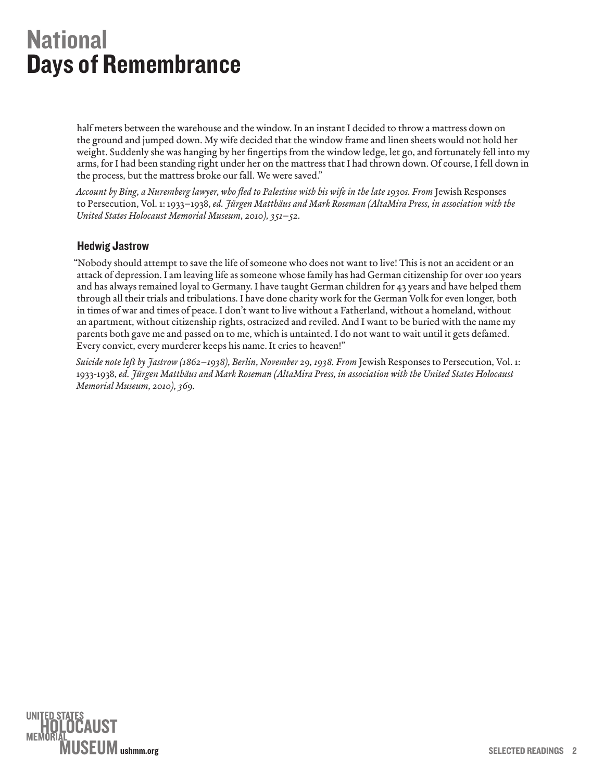half meters between the warehouse and the window. In an instant I decided to throw a mattress down on the ground and jumped down. My wife decided that the window frame and linen sheets would not hold her weight. Suddenly she was hanging by her fingertips from the window ledge, let go, and fortunately fell into my arms, for I had been standing right under her on the mattress that I had thrown down. Of course, I fell down in the process, but the mattress broke our fall. We were saved."

 *Account by Bing, a Nuremberg lawyer, who fled to Palestine with his wife in the late 1930s. From* Jewish Responses to Persecution, Vol. 1: 1933–1938, *ed. Jürgen Matthäus and Mark Roseman (AltaMira Press, in association with the United States Holocaust Memorial Museum, 2010), 351–52.*

#### Hedwig Jastrow

 "Nobody should attempt to save the life of someone who does not want to live! This is not an accident or an attack of depression. I am leaving life as someone whose family has had German citizenship for over 100 years and has always remained loyal to Germany. I have taught German children for 43 years and have helped them through all their trials and tribulations. I have done charity work for the German Volk for even longer, both in times of war and times of peace. I don't want to live without a Fatherland, without a homeland, without an apartment, without citizenship rights, ostracized and reviled. And I want to be buried with the name my parents both gave me and passed on to me, which is untainted. I do not want to wait until it gets defamed. Every convict, every murderer keeps his name. It cries to heaven!"

 *Suicide note left by Jastrow (1862–1938), Berlin, November 29, 1938. From* Jewish Responses to Persecution, Vol. 1: 1933-1938, *ed. Jürgen Matthäus and Mark Roseman (AltaMira Press, in association with the United States Holocaust Memorial Museum, 2010), 369.*

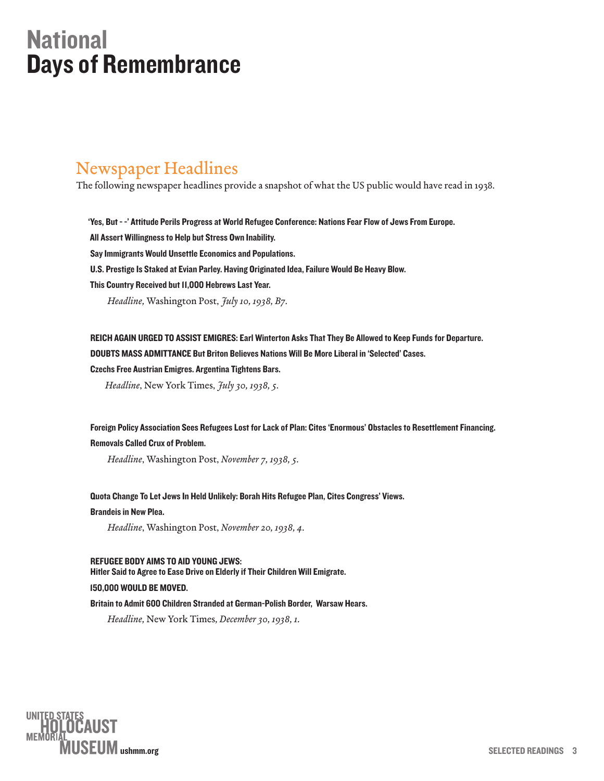### Newspaper Headlines

The following newspaper headlines provide a snapshot of what the US public would have read in 1938.

'Yes, But - -' Attitude Perils Progress at World Refugee Conference: Nations Fear Flow of Jews From Europe. All Assert Willingness to Help but Stress Own Inability. Say Immigrants Would Unsettle Economics and Populations. U.S. Prestige Is Staked at Evian Parley. Having Originated Idea, Failure Would Be Heavy Blow. This Country Received but 11,000 Hebrews Last Year.  *Headline,* Washington Post, *July 10, 1938, B7.*

REICH AGAIN URGED TO ASSIST EMIGRES: Earl Winterton Asks That They Be Allowed to Keep Funds for Departure. DOUBTS MASS ADMITTANCE But Briton Believes Nations Will Be More Liberal in 'Selected' Cases. Czechs Free Austrian Emigres. Argentina Tightens Bars.

*Headline*, New York Times, *July 30, 1938, 5*.

Foreign Policy Association Sees Refugees Lost for Lack of Plan: Cites 'Enormous' Obstacles to Resettlement Financing. Removals Called Crux of Problem.

*Headline*, Washington Post, *November 7, 1938, 5*.

Quota Change To Let Jews In Held Unlikely: Borah Hits Refugee Plan, Cites Congress' Views. Brandeis in New Plea.

*Headline*, Washington Post, *November 20, 1938, 4*.

REFUGEE BODY AIMS TO AID YOUNG JEWS: Hitler Said to Agree to Ease Drive on Elderly if Their Children Will Emigrate. 150,000 WOULD BE MOVED. Britain to Admit 600 Children Stranded at German-Polish Border, Warsaw Hears.

 *Headline,* New York Times*, December 30, 1938, 1.*

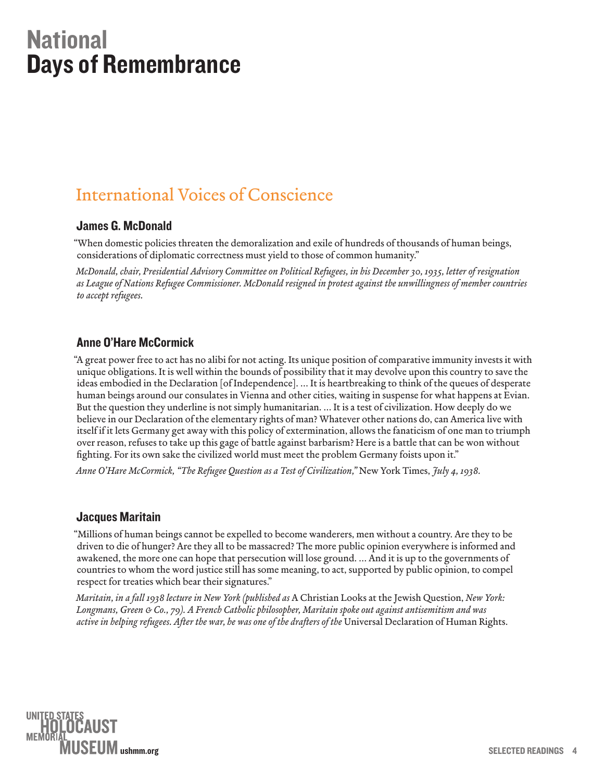## International Voices of Conscience

#### James G. McDonald

 "When domestic policies threaten the demoralization and exile of hundreds of thousands of human beings, considerations of diplomatic correctness must yield to those of common humanity."

 *McDonald, chair, Presidential Advisory Committee on Political Refugees, in his December 30, 1935, letter of resignation as League of Nations Refugee Commissioner. McDonald resigned in protest against the unwillingness of member countries to accept refugees.*

#### Anne O'Hare McCormick

 "A great power free to act has no alibi for not acting. Its unique position of comparative immunity invests it with unique obligations. It is well within the bounds of possibility that it may devolve upon this country to save the ideas embodied in the Declaration [of Independence]. … It is heartbreaking to think of the queues of desperate human beings around our consulates in Vienna and other cities, waiting in suspense for what happens at Evian. But the question they underline is not simply humanitarian. … It is a test of civilization. How deeply do we believe in our Declaration of the elementary rights of man? Whatever other nations do, can America live with itself if it lets Germany get away with this policy of extermination, allows the fanaticism of one man to triumph over reason, refuses to take up this gage of battle against barbarism? Here is a battle that can be won without fighting. For its own sake the civilized world must meet the problem Germany foists upon it."

 *Anne O'Hare McCormick, "The Refugee Question as a Test of Civilization,"* New York Times, *July 4, 1938.*

#### Jacques Maritain

 "Millions of human beings cannot be expelled to become wanderers, men without a country. Are they to be driven to die of hunger? Are they all to be massacred? The more public opinion everywhere is informed and awakened, the more one can hope that persecution will lose ground. … And it is up to the governments of countries to whom the word justice still has some meaning, to act, supported by public opinion, to compel respect for treaties which bear their signatures."

 *Maritain, in a fall 1938 lecture in New York (published as* A Christian Looks at the Jewish Question, *New York: Longmans, Green & Co., 79). A French Catholic philosopher, Maritain spoke out against antisemitism and was active in helping refugees. After the war, he was one of the drafters of the* Universal Declaration of Human Rights.

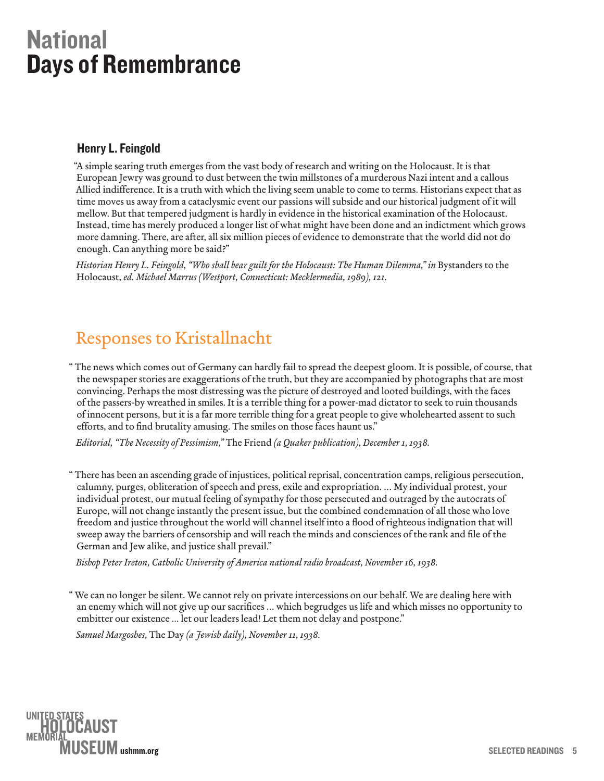#### Henry L. Feingold

 "A simple searing truth emerges from the vast body of research and writing on the Holocaust. It is that European Jewry was ground to dust between the twin millstones of a murderous Nazi intent and a callous Allied indifference. It is a truth with which the living seem unable to come to terms. Historians expect that as time moves us away from a cataclysmic event our passions will subside and our historical judgment of it will mellow. But that tempered judgment is hardly in evidence in the historical examination of the Holocaust. Instead, time has merely produced a longer list of what might have been done and an indictment which grows more damning. There, are after, all six million pieces of evidence to demonstrate that the world did not do enough. Can anything more be said?"

Historian Henry L. Feingold, "Who shall bear guilt for the Holocaust: The Human Dilemma," in Bystanders to the Holocaust, *ed. Michael Marrus (Westport, Connecticut: Mecklermedia, 1989), 121.*

### Responses to Kristallnacht

" The news which comes out of Germany can hardly fail to spread the deepest gloom. It is possible, of course, that the newspaper stories are exaggerations of the truth, but they are accompanied by photographs that are most convincing. Perhaps the most distressing was the picture of destroyed and looted buildings, with the faces of the passers-by wreathed in smiles. It is a terrible thing for a power-mad dictator to seek to ruin thousands of innocent persons, but it is a far more terrible thing for a great people to give wholehearted assent to such efforts, and to find brutality amusing. The smiles on those faces haunt us."

 *Editorial, "The Necessity of Pessimism,"* The Friend *(a Quaker publication), December 1, 1938.*

There has been an ascending grade of injustices, political reprisal, concentration camps, religious persecution, calumny, purges, obliteration of speech and press, exile and expropriation. … My individual protest, your individual protest, our mutual feeling of sympathy for those persecuted and outraged by the autocrats of Europe, will not change instantly the present issue, but the combined condemnation of all those who love freedom and justice throughout the world will channel itself into a flood of righteous indignation that will sweep away the barriers of censorship and will reach the minds and consciences of the rank and file of the German and Jew alike, and justice shall prevail."

 *Bishop Peter Ireton, Catholic University of America national radio broadcast, November 16, 1938.*

" We can no longer be silent. We cannot rely on private intercessions on our behalf. We are dealing here with an enemy which will not give up our sacrifices … which begrudges us life and which misses no opportunity to embitter our existence ... let our leaders lead! Let them not delay and postpone."

 *Samuel Margoshes,* The Day *(a Jewish daily), November 11, 1938.*

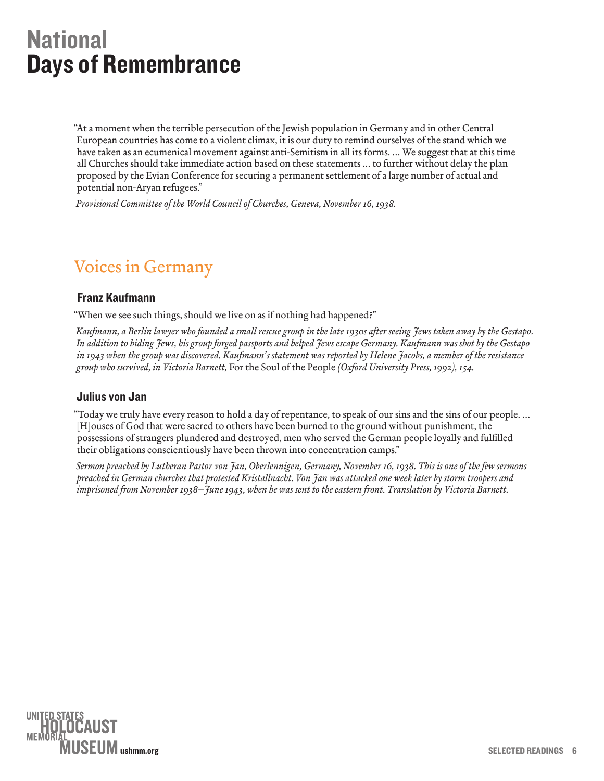"At a moment when the terrible persecution of the Jewish population in Germany and in other Central European countries has come to a violent climax, it is our duty to remind ourselves of the stand which we have taken as an ecumenical movement against anti-Semitism in all its forms. … We suggest that at this time all Churches should take immediate action based on these statements … to further without delay the plan proposed by the Evian Conference for securing a permanent settlement of a large number of actual and potential non-Aryan refugees."

 *Provisional Committee of the World Council of Churches, Geneva, November 16, 1938.*

## Voices in Germany

#### Franz Kaufmann

"When we see such things, should we live on as if nothing had happened?"

 *Kaufmann, a Berlin lawyer who founded a small rescue group in the late 1930s after seeing Jews taken away by the Gestapo. In addition to hiding Jews, his group forged passports and helped Jews escape Germany. Kaufmann was shot by the Gestapo in 1943 when the group was discovered. Kaufmann's statement was reported by Helene Jacobs, a member of the resistance group who survived, in Victoria Barnett,* For the Soul of the People *(Oxford University Press, 1992), 154.*

#### Julius von Jan

 "Today we truly have every reason to hold a day of repentance, to speak of our sins and the sins of our people. … [H]ouses of God that were sacred to others have been burned to the ground without punishment, the possessions of strangers plundered and destroyed, men who served the German people loyally and fulfilled their obligations conscientiously have been thrown into concentration camps."

 *Sermon preached by Lutheran Pastor von Jan, Oberlennigen, Germany, November 16, 1938. This is one of the few sermons preached in German churches that protested Kristallnacht. Von Jan was attacked one week later by storm troopers and imprisoned from November 1938–June 1943, when he was sent to the eastern front. Translation by Victoria Barnett.*